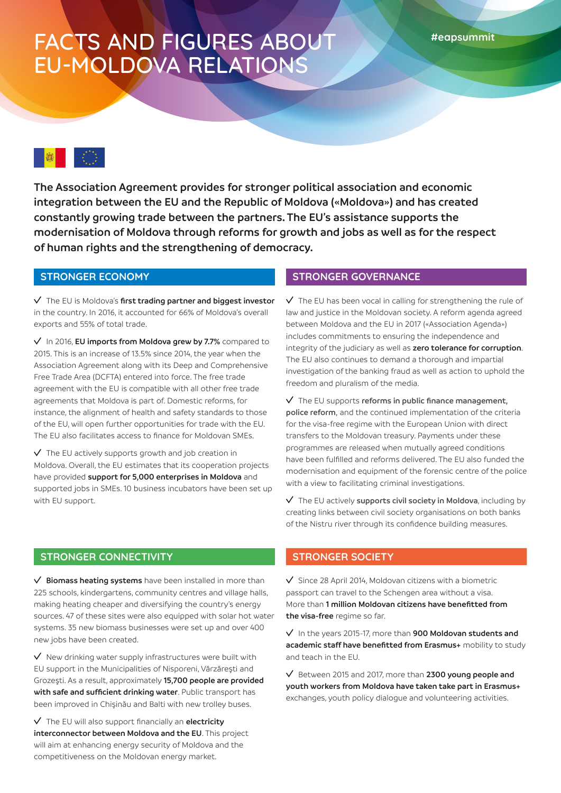# FACTS AND FIGURES ABOUT EU-MOLDOVA RELATIONS

**The Association Agreement provides for stronger political association and economic integration between the EU and the Republic of Moldova («Moldova») and has created constantly growing trade between the partners. The EU's assistance supports the modernisation of Moldova through reforms for growth and jobs as well as for the respect of human rights and the strengthening of democracy.** 

### **STRONGER ECONOMY**

The EU is Moldova's **first trading partner and biggest investor** in the country. In 2016, it accounted for 66% of Moldova's overall exports and 55% of total trade.

In 2016, **EU imports from Moldova grew by 7.7%** compared to 2015. This is an increase of 13.5% since 2014, the year when the Association Agreement along with its Deep and Comprehensive Free Trade Area (DCFTA) entered into force. The free trade agreement with the EU is compatible with all other free trade agreements that Moldova is part of. Domestic reforms, for instance, the alignment of health and safety standards to those of the EU, will open further opportunities for trade with the EU. The EU also facilitates access to finance for Moldovan SMEs.

 $\sqrt{\phantom{a}}$  The EU actively supports growth and job creation in Moldova. Overall, the EU estimates that its cooperation projects have provided **support for 5,000 enterprises in Moldova** and supported jobs in SMEs. 10 business incubators have been set up with EU support.

### **STRONGER GOVERNANCE**

 $\sqrt{ }$  The EU has been vocal in calling for strengthening the rule of law and justice in the Moldovan society. A reform agenda agreed between Moldova and the EU in 2017 («Association Agenda») includes commitments to ensuring the independence and integrity of the judiciary as well as **zero tolerance for corruption**. The EU also continues to demand a thorough and impartial investigation of the banking fraud as well as action to uphold the freedom and pluralism of the media.

The EU supports **reforms in public finance management, police reform**, and the continued implementation of the criteria for the visa-free regime with the European Union with direct transfers to the Moldovan treasury. Payments under these programmes are released when mutually agreed conditions have been fulfilled and reforms delivered. The EU also funded the modernisation and equipment of the forensic centre of the police with a view to facilitating criminal investigations.

The EU actively **supports civil society in Moldova**, including by creating links between civil society organisations on both banks of the Nistru river through its confidence building measures.

#### **STRONGER CONNECTIVITY**

**Biomass heating systems** have been installed in more than 225 schools, kindergartens, community centres and village halls, making heating cheaper and diversifying the country's energy sources. 47 of these sites were also equipped with solar hot water systems. 35 new biomass businesses were set up and over 400 new jobs have been created.

 $\vee$  New drinking water supply infrastructures were built with EU support in the Municipalities of Nisporeni, Vărzăreşti and Grozeşti. As a result, approximately **15,700 people are provided with safe and sufficient drinking water**. Public transport has been improved in Chişinău and Balti with new trolley buses.

The EU will also support financially an **electricity interconnector between Moldova and the EU**. This project will aim at enhancing energy security of Moldova and the competitiveness on the Moldovan energy market.

### **STRONGER SOCIETY**

 $\sqrt{}$  Since 28 April 2014, Moldovan citizens with a biometric passport can travel to the Schengen area without a visa. More than **1 million Moldovan citizens have benefitted from the visa-free** regime so far.

In the years 2015-17, more than **900 Moldovan students and academic staff have benefitted from Erasmus+** mobility to study and teach in the EU.

Between 2015 and 2017, more than **2300 young people and youth workers from Moldova have taken take part in Erasmus+** exchanges, youth policy dialogue and volunteering activities.